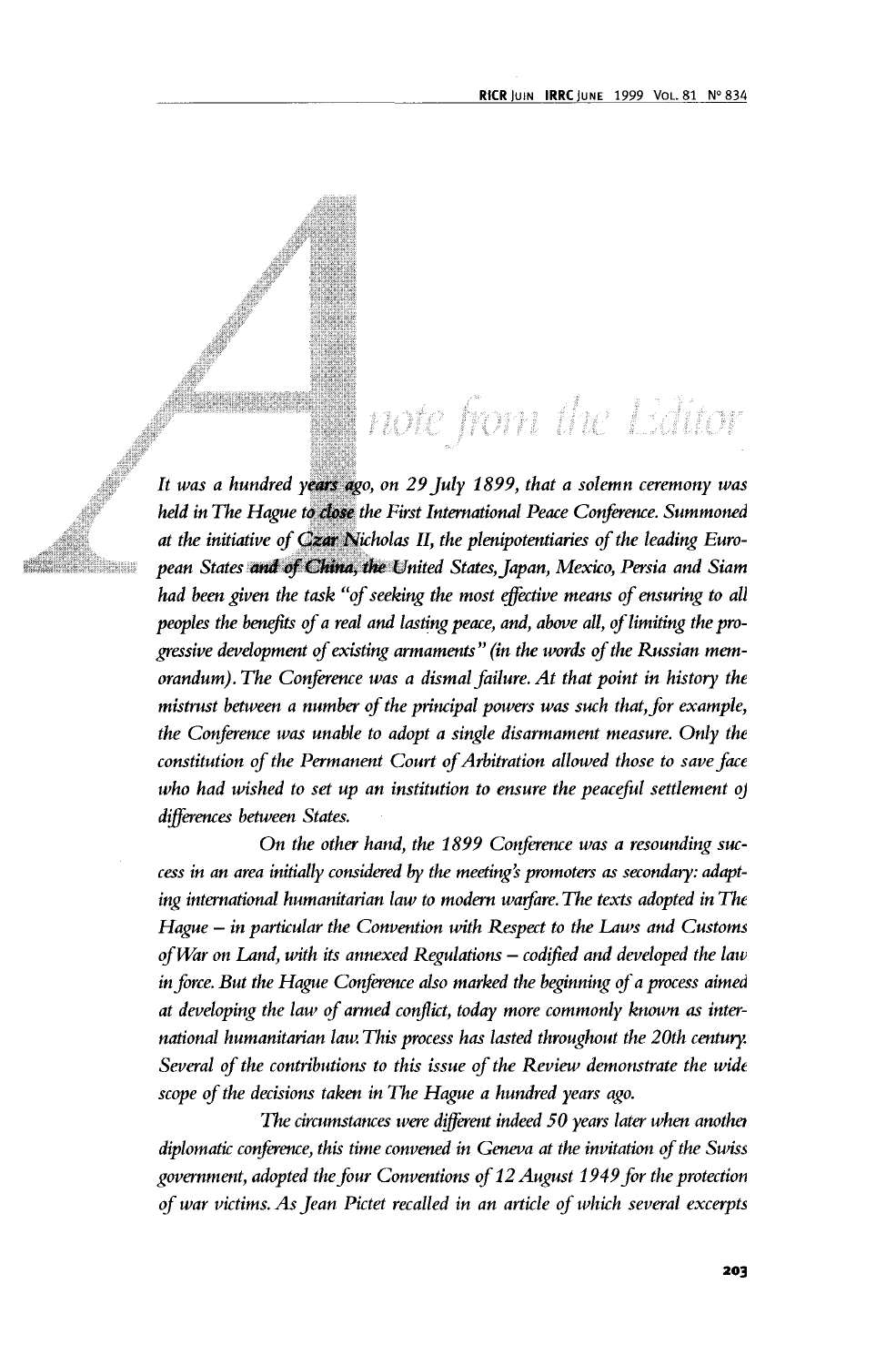## note from the Editor

*It was a hundred years ago, on 29 July 1899, that a solemn ceremony was held in The Hague to close the First International Peace Conference. Summoned at the initiative of Czar Nicholas II, the plenipotentiaries of the leading European States and of China, the United States, Japan, Mexico, Persia and Siam had been given the task "of seeking the most effective means of ensuring to all peoples the benefits of a real and lasting peace, and, above all, of limiting the progressive development of existing armaments" (in the words of the Russian memorandum). The Conference was a dismal failure. At that point in history the mistrust between a number of the principal powers was such that, for example, the Conference was unable to adopt a single disarmament measure. Only the constitution of the Permanent Court of Arbitration allowed those to save face who had wished to set up an institution to ensure the peaceful settlement of differences between States.*

*On the other hand, the 1899 Conference was a resounding success in an area initially considered by the meeting's promoters as secondary: adapting international humanitarian law to modem warfare. The texts adopted in The Hague — in particular the Convention with Respect to the Laws and Customs of War on Land, with its annexed Regulations — codified and developed the law in force. But the Hague Conference also marked the beginning of a process aimed at developing the law of armed conflict, today more commonly known as international humanitarian law. This process has lasted throughout the 20th century. Several of the contributions to this issue of the Review demonstrate the wide scope of the decisions taken in The Hague a hundred years ago.*

*The circumstances were different indeed 50 years later when another diplomatic conference, this time convened in Geneva at the invitation of the Swiss government, adopted the four Conventions of 12 August 1949 for the protection of war victims. As Jean Pictet recalled in an article of which several excerpts*